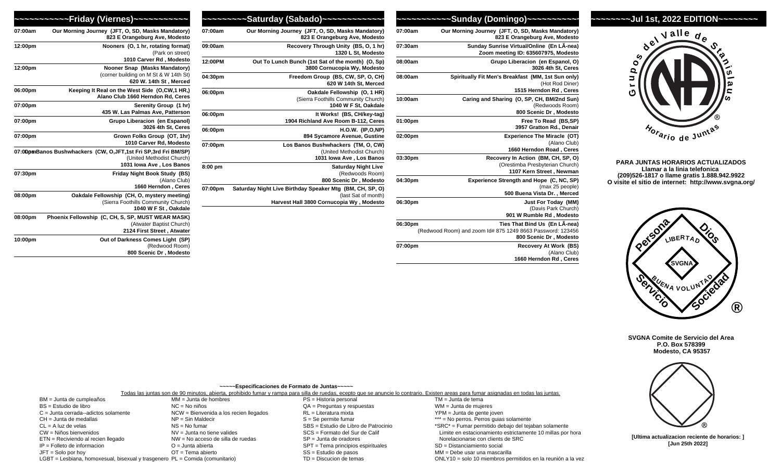## **~~~~~~~~Jul 1st, 2022 EDITION~~~~~~~~**



**PARA JUNTAS HORARIOS ACTUALIZADOS Llamar a la linia telefonica (209)526-1817 o llame gratis 1.888.942.9922 O visite el sitio de internet: http://www.svgna.org/** 



**SVGNA Comite de Servicio del Area P.O. Box 578399 Modesto, CA 95357**



**[Ultima actualizacion reciente de horarios: ] [Jun 25th 2022]**

| Our Morning Journey (JFT, O, SD, Masks Mandatory)<br>823 E Orangeburg Ave, Modesto                                    | 07:00am |
|-----------------------------------------------------------------------------------------------------------------------|---------|
| Sunday Sunrise Virtual/Online (En LÂ-nea)<br>Zoom meeting ID: 635607975, Modesto                                      | 07:30am |
| Grupo Liberacion (en Espanol, O)<br>3026 4th St, Ceres                                                                | 08:00am |
| Spiritually Fit Men's Breakfast (MM, 1st Sun only)<br>(Hot Rod Diner)<br>1515 Herndon Rd, Ceres                       | 08:00am |
| Caring and Sharing (O, SP, CH, BM/2nd Sun)<br>(Redwoods Room)<br>800 Scenic Dr, Modesto                               | 10:00am |
| Free To Read (BS,SP)<br>3957 Gratton Rd., Denair                                                                      | 01:00pm |
| <b>Experience The Miracle (OT)</b><br>(Alano Club)<br>1660 Herndon Road, Ceres                                        | 02:00pm |
| Recovery In Action (BM, CH, SP, O)<br>(Orestimba Presbyterian Church)<br>1107 Kern Street, Newman                     | 03:30pm |
| Experience Strength and Hope (C, NC, SP)<br>(max 25 people)<br>500 Buena Vista Dr., Merced                            | 04:30pm |
| Just For Today (MM)<br>(Davis Park Church)<br>901 W Rumble Rd, Modesto                                                | 06:30pm |
| Ties That Bind Us (En LA-nea)<br>(Redwood Room) and zoom Id# 875 1249 8663 Password: 123456<br>800 Scenic Dr, Modesto | 06:30pm |
| Recovery At Work (BS)<br>(Alano Club)<br>1660 Herndon Rd, Ceres                                                       | 07:00pm |

ONLY10 = solo 10 miembros permitidos en la reunión a la vez

|         | ~~~~~~~~~Saturday (Sabado)~~~~~~~~~~~~~                                            |
|---------|------------------------------------------------------------------------------------|
| 07:00am | Our Morning Journey (JFT, O, SD, Masks Mandatory)<br>823 E Orangeburg Ave, Modesto |
| 09:00am | Recovery Through Unity (BS, O, 1 hr)                                               |

**07:00am Our Morning Journey (JFT, O, SD, Masks Mandatory)**

**1320 L St, Modes 12:00PM Out To Lunch Bunch (1st Sat of the month) (O, 3800 Cornucopia Wy, Modes** 04:30pm **Freedom Group (BS, CW, SP, O, C 620 W 14th St, Merc** 06:00pm **Oakdale Fellowship (O, 1 H** (Sierra Foothills Community Chur 1040 W F St, Oakd

06:00pm **It Works!** (BS, CH/key-tag) 1904 Richland Ave Room B-112, Ce **06:00pm H.O.W.** (IP,O,I) **894 Sycamore Avenue, Gustine** 07:00pm **Los Banos Bushwhackers (TM, O, C)** (United Methodist Chur 1031 Iowa Ave, Los Bar **8:00 pm Saturday Night Live**  (Redwoods Room) 800 Scenic Dr, Mode

07:00pm Saturday Night Live Birthday Speaker Mtg (BM, CH, SP, (last Sat of mor **Harvest Hall 3800 Cornucopia Wy , Modes** 

|         | ~~~Friday (Viernes)~~~~~~~~~~~                                                                                             |
|---------|----------------------------------------------------------------------------------------------------------------------------|
| 07:00am | Our Morning Journey (JFT, O, SD, Masks Mandatory)<br>823 E Orangeburg Ave, Modesto                                         |
| 12:00pm | Nooners (O, 1 hr, rotating format)<br>(Park on street)<br>1010 Carver Rd, Modesto                                          |
| 12:00pm | Nooner Snap (Masks Mandatory)<br>(corner building on M St & W 14th St)<br>620 W. 14th St, Merced                           |
| 06:00pm | Keeping It Real on the West Side (O,CW,1 HR,)<br>Alano Club 1660 Herndon Rd. Ceres                                         |
| 07:00pm | Serenity Group (1 hr)<br>435 W. Las Palmas Ave, Patterson                                                                  |
| 07:00pm | Grupo Liberacion (en Espanol)<br>3026 4th St, Ceres                                                                        |
| 07:00pm | Grown Folks Group (OT, 1hr)<br>1010 Carver Rd, Modesto                                                                     |
|         | 07:00pmBanos Bushwhackers (CW, O, JFT, 1st Fri SP, 3rd Fri BM/SP)<br>(United Methodist Church)<br>1031 Iowa Ave, Los Banos |
| 07:30pm | Friday Night Book Study (BS)<br>(Alano Club)<br>1660 Herndon, Ceres                                                        |
| 08:00pm | Oakdale Fellowship (CH, O, mystery meeting)<br>(Sierra Foothills Community Church)<br>1040 W F St, Oakdale                 |
| 08:00pm | Phoenix Fellowship (C, CH, S, SP, MUST WEAR MASK)<br>(Atwater Baptist Church)<br>2124 First Street, Atwater                |
| 10:00pm | Out of Darkness Comes Light (SP)<br>(Redwood Room)<br>800 Scenic Dr, Modesto                                               |

LGBT = Lesbiana, homoxesual, bisexual y trasgenero PL = Comida (comunitario)

|                                        |                                        | ~~~~~ Especificaciones de Formato de Juntas~~~~~ |                                                                                                                                                                                        |
|----------------------------------------|----------------------------------------|--------------------------------------------------|----------------------------------------------------------------------------------------------------------------------------------------------------------------------------------------|
|                                        |                                        |                                                  | Todas las juntas son de 90 minutos, abierta, prohibido fumar y rampa para silla de ruedas, ecepto que se anuncie lo contrario. Existen areas para fumar asignadas en todas las juntas. |
| BM = Junta de cumpleaños               | $MM = Junta de hombres$                | PS = Historia personal                           | TM = Junta de tema                                                                                                                                                                     |
| BS = Estudio de libro                  | $NC = No$ niños                        | $QA = P$ reguntas y respuestas                   | WM = Junta de mujeres                                                                                                                                                                  |
| $C =$ Junta cerrada--adictos solamente | NCW = Bienvenida a los recien llegados | RL = Literatura mixta                            | YPM = Junta de gente joven                                                                                                                                                             |
| CH = Junta de medallas                 | $NP = Sin$ Maldecir                    | $S =$ Se permite fumar                           | *** = No perros. Perros quias solamente                                                                                                                                                |
| $CL = A$ luz de velas                  | $NS = No$ fumar                        | SBS = Estudio de Libro de Patrocinio             | *SRC* = Fumar permitido debajo del tejaban solamente                                                                                                                                   |
| CW = Niños bienvenidos                 | $NV =$ Junta no tiene valides          | SCS = Formato del Sur de Calif                   | Limite en estacionamiento estrictamente 10 millas por hora                                                                                                                             |
| ETN = Reciviendo al recien llegado     | NW = No acceso de silla de ruedas      | $SP =$ Junta de oradores                         | Norelacionarse con clients de SRC                                                                                                                                                      |
| $IP =$ Folleto de informacion          | $O =$ Junta abierta                    | SPT = Tema principios espirituales               | SD = Distanciamiento social                                                                                                                                                            |
| $JFT =$ Solo por hoy                   | $OT = Tema$ abierto                    | $SS =$ Estudio de pasos                          | MM = Debe usar una mascarilla                                                                                                                                                          |

TD = Discucion de temas